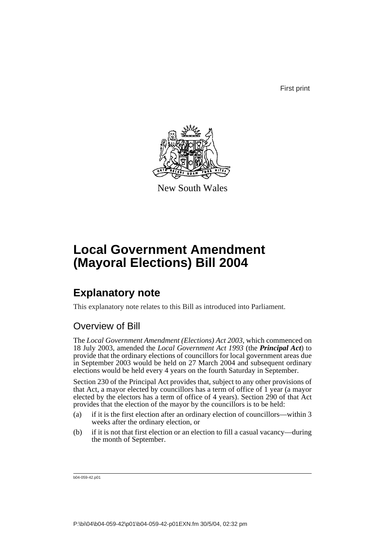First print



New South Wales

# **Local Government Amendment (Mayoral Elections) Bill 2004**

## **Explanatory note**

This explanatory note relates to this Bill as introduced into Parliament.

## Overview of Bill

The *Local Government Amendment (Elections) Act 2003*, which commenced on 18 July 2003, amended the *Local Government Act 1993* (the *Principal Act*) to provide that the ordinary elections of councillors for local government areas due in September 2003 would be held on 27 March 2004 and subsequent ordinary elections would be held every 4 years on the fourth Saturday in September.

Section 230 of the Principal Act provides that, subject to any other provisions of that Act, a mayor elected by councillors has a term of office of 1 year (a mayor elected by the electors has a term of office of 4 years). Section 290 of that Act provides that the election of the mayor by the councillors is to be held:

- (a) if it is the first election after an ordinary election of councillors—within 3 weeks after the ordinary election, or
- (b) if it is not that first election or an election to fill a casual vacancy—during the month of September.

b04-059-42.p01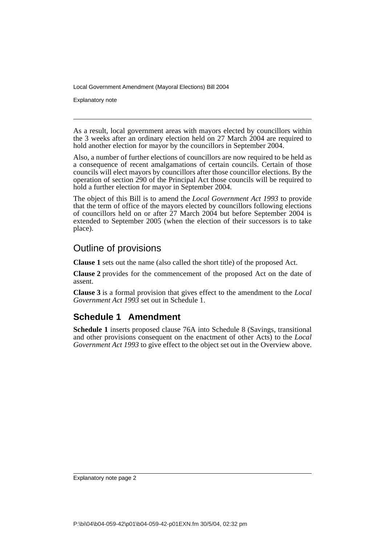Local Government Amendment (Mayoral Elections) Bill 2004

Explanatory note

As a result, local government areas with mayors elected by councillors within the 3 weeks after an ordinary election held on 27 March 2004 are required to hold another election for mayor by the councillors in September 2004.

Also, a number of further elections of councillors are now required to be held as a consequence of recent amalgamations of certain councils. Certain of those councils will elect mayors by councillors after those councillor elections. By the operation of section 290 of the Principal Act those councils will be required to hold a further election for mayor in September 2004.

The object of this Bill is to amend the *Local Government Act 1993* to provide that the term of office of the mayors elected by councillors following elections of councillors held on or after  $27$  March 2004 but before September 2004 is extended to September 2005 (when the election of their successors is to take place).

#### Outline of provisions

**Clause 1** sets out the name (also called the short title) of the proposed Act.

**Clause 2** provides for the commencement of the proposed Act on the date of assent.

**Clause 3** is a formal provision that gives effect to the amendment to the *Local Government Act 1993* set out in Schedule 1.

### **Schedule 1 Amendment**

**Schedule 1** inserts proposed clause 76A into Schedule 8 (Savings, transitional and other provisions consequent on the enactment of other Acts) to the *Local Government Act 1993* to give effect to the object set out in the Overview above.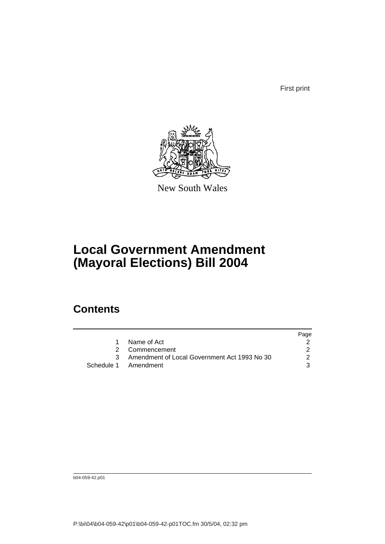First print



New South Wales

# **Local Government Amendment (Mayoral Elections) Bill 2004**

## **Contents**

|                                              | Page |
|----------------------------------------------|------|
| Name of Act                                  |      |
| 2 Commencement                               |      |
| Amendment of Local Government Act 1993 No 30 | 2    |
| Schedule 1 Amendment                         | 3    |

b04-059-42.p01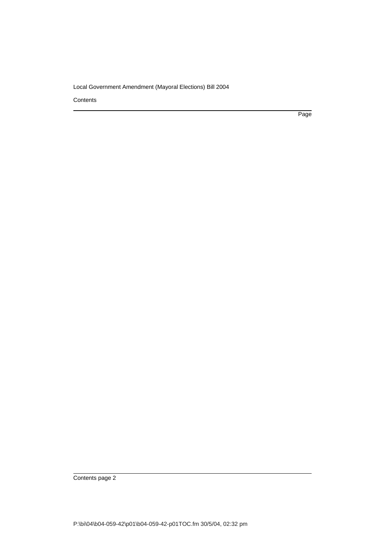Local Government Amendment (Mayoral Elections) Bill 2004

**Contents** 

Page

Contents page 2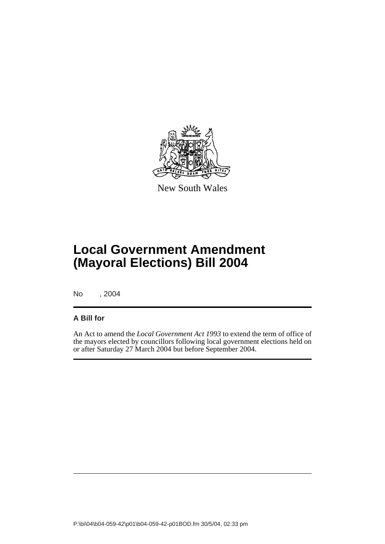

New South Wales

# **Local Government Amendment (Mayoral Elections) Bill 2004**

No , 2004

#### **A Bill for**

An Act to amend the *Local Government Act 1993* to extend the term of office of the mayors elected by councillors following local government elections held on or after Saturday 27 March 2004 but before September 2004.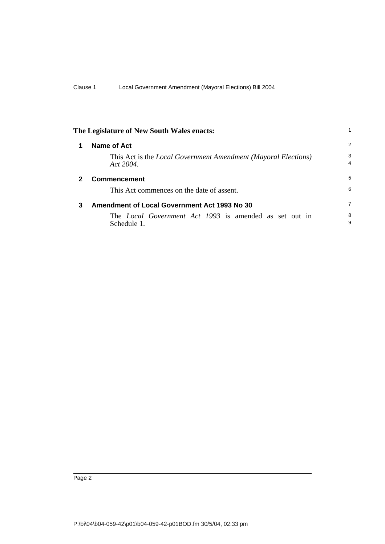| The Legislature of New South Wales enacts: |                                                                                    |                     |
|--------------------------------------------|------------------------------------------------------------------------------------|---------------------|
| 1                                          | Name of Act                                                                        | 2                   |
|                                            | This Act is the <i>Local Government Amendment (Mayoral Elections)</i><br>Act 2004. | 3<br>$\overline{4}$ |
| $\mathbf{2}$                               | <b>Commencement</b>                                                                | 5                   |
|                                            | This Act commences on the date of assent.                                          | 6                   |
| 3                                          | Amendment of Local Government Act 1993 No 30                                       | 7                   |
|                                            | The <i>Local Government Act 1993</i> is amended as set out in<br>Schedule 1.       | 8<br>9              |